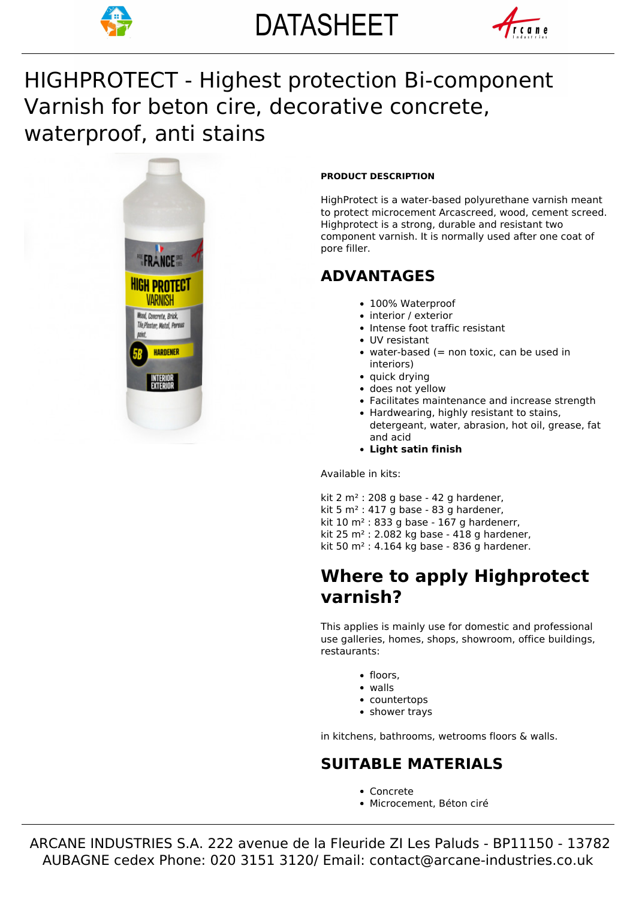



# Varnish for beton cire, decorative concrete, HIGHPROTECT - Highest protection Bi-component waterproof, anti stains



### **PRODUCT DESCRIPTION**

HighProtect is a water-based polyurethane varnish meant to protect microcement Arcascreed, wood, cement screed. Highprotect is a strong, durable and resistant two component varnish. It is normally used after one coat of pore filler.

# **ADVANTAGES**

- 100% Waterproof
- interior / exterior
- Intense foot traffic resistant
- UV resistant
- $\bullet$  water-based (= non toxic, can be used in interiors)
- quick drying
- does not yellow
- Facilitates maintenance and increase strength
- Hardwearing, highly resistant to stains, detergeant, water, abrasion, hot oil, grease, fat and acid
- **Light satin finish**

Available in kits:

kit 2  $m^2$  : 208 g base - 42 g hardener. kit 5 m² : 417 g base - 83 g hardener, kit  $10 \text{ m}^2$  : 833 g base - 167 g hardenerr, kit 25 m² : 2.082 kg base - 418 g hardener, kit 50 m<sup>2</sup> : 4.164 kg base - 836 g hardener.

# **Where to apply Highprotect varnish?**

This applies is mainly use for domestic and professional use galleries, homes, shops, showroom, office buildings, restaurants:

- floors.
- walls
- countertops
- shower trays

in kitchens, bathrooms, wetrooms floors & walls.

### **SUITABLE MATERIALS**

- Concrete
- Microcement, Béton ciré

 ARCANE INDUSTRIES S.A. 222 avenue de la Fleuride ZI Les Paluds - BP11150 - 13782 AUBAGNE cedex Phone: 020 3151 3120/ Email: contact@arcane-industries.co.uk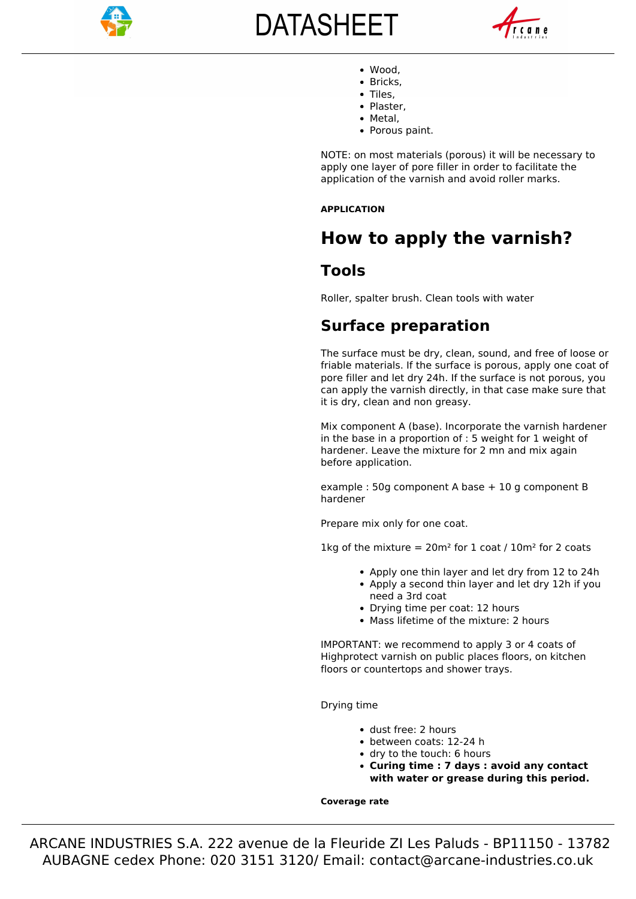

# **DATASHEET**



- Wood,
- Bricks.
- Tiles. • Plaster.
- Metal.
- Porous paint.

NOTE: on most materials (porous) it will be necessary to apply one layer of pore filler in order to facilitate the application of the varnish and avoid roller marks.

### **APPLICATION**

# **How to apply the varnish?**

## **Tools**

Roller, spalter brush. Clean tools with water

### **Surface preparation**

The surface must be dry, clean, sound, and free of loose or friable materials. If the surface is porous, apply one coat of pore filler and let dry 24h. If the surface is not porous, you can apply the varnish directly, in that case make sure that it is dry, clean and non greasy.

Mix component A (base). Incorporate the varnish hardener in the base in a proportion of : 5 weight for 1 weight of hardener. Leave the mixture for 2 mn and mix again before application.

example : 50g component A base + 10 g component B hardener

Prepare mix only for one coat.

1kg of the mixture =  $20m^2$  for 1 coat /  $10m^2$  for 2 coats

- Apply one thin layer and let dry from 12 to 24h
- Apply a second thin layer and let dry 12h if you need a 3rd coat
- Drying time per coat: 12 hours
- Mass lifetime of the mixture: 2 hours

IMPORTANT: we recommend to apply 3 or 4 coats of Highprotect varnish on public places floors, on kitchen floors or countertops and shower trays.

Drying time

- dust free: 2 hours
- between coats: 12-24 h
- dry to the touch: 6 hours
- **Curing time : 7 days : avoid any contact with water or grease during this period.**

#### **Coverage rate**

 ARCANE INDUSTRIES S.A. 222 avenue de la Fleuride ZI Les Paluds - BP11150 - 13782 AUBAGNE cedex Phone: 020 3151 3120/ Email: contact@arcane-industries.co.uk